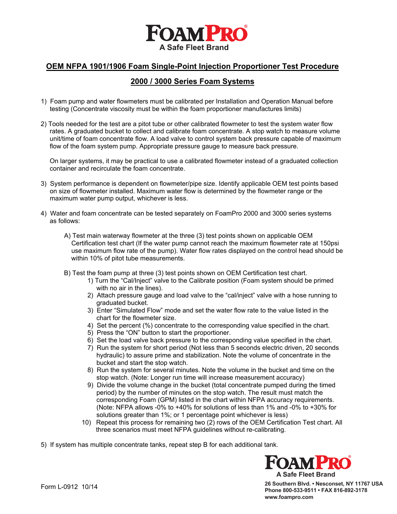

### **OEM NFPA 1901/1906 Foam Single-Point Injection Proportioner Test Procedure**

### **2000 / 3000 Series Foam Systems**

- 1) Foam pump and water flowmeters must be calibrated per Installation and Operation Manual before testing (Concentrate viscosity must be within the foam proportioner manufactures limits)
- 2) Tools needed for the test are a pitot tube or other calibrated flowmeter to test the system water flow rates. A graduated bucket to collect and calibrate foam concentrate. A stop watch to measure volume unit/time of foam concentrate flow. A load valve to control system back pressure capable of maximum flow of the foam system pump. Appropriate pressure gauge to measure back pressure.

 On larger systems, it may be practical to use a calibrated flowmeter instead of a graduated collection container and recirculate the foam concentrate.

- 3) System performance is dependent on flowmeter/pipe size. Identify applicable OEM test points based on size of flowmeter installed. Maximum water flow is determined by the flowmeter range or the maximum water pump output, whichever is less.
- 4) Water and foam concentrate can be tested separately on FoamPro 2000 and 3000 series systems as follows:
	- A) Test main waterway flowmeter at the three (3) test points shown on applicable OEM Certification test chart (If the water pump cannot reach the maximum flowmeter rate at 150psi use maximum flow rate of the pump). Water flow rates displayed on the control head should be within 10% of pitot tube measurements.
	- B) Test the foam pump at three (3) test points shown on OEM Certification test chart.
		- 1) Turn the "Cal/Inject" valve to the Calibrate position (Foam system should be primed with no air in the lines).
		- 2) Attach pressure gauge and load valve to the "cal/inject" valve with a hose running to graduated bucket.
		- 3) Enter "Simulated Flow" mode and set the water flow rate to the value listed in the chart for the flowmeter size.
		- 4) Set the percent (%) concentrate to the corresponding value specified in the chart.
		- 5) Press the "ON" button to start the proportioner.
		- 6) Set the load valve back pressure to the corresponding value specified in the chart.
		- 7) Run the system for short period (Not less than 5 seconds electric driven, 20 seconds hydraulic) to assure prime and stabilization. Note the volume of concentrate in the bucket and start the stop watch.
		- 8) Run the system for several minutes. Note the volume in the bucket and time on the stop watch. (Note: Longer run time will increase measurement accuracy)
		- 9) Divide the volume change in the bucket (total concentrate pumped during the timed period) by the number of minutes on the stop watch. The result must match the corresponding Foam (GPM) listed in the chart within NFPA accuracy requirements. (Note: NFPA allows -0% to +40% for solutions of less than 1% and -0% to +30% for solutions greater than 1%; or 1 percentage point whichever is less)
		- 10) Repeat this process for remaining two (2) rows of the OEM Certification Test chart. All three scenarios must meet NFPA guidelines without re-calibrating.

5) If system has multiple concentrate tanks, repeat step B for each additional tank.